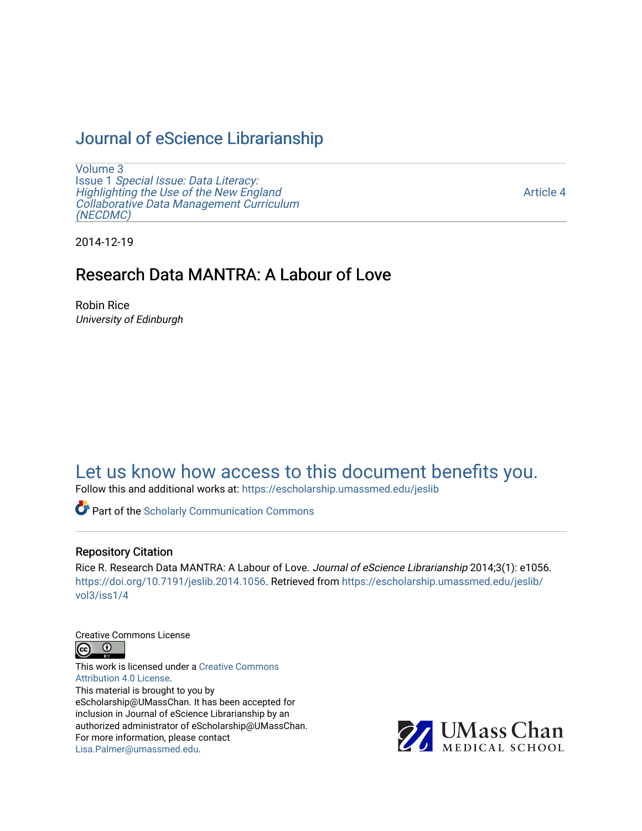# [Journal of eScience Librarianship](https://escholarship.umassmed.edu/jeslib)

[Volume 3](https://escholarship.umassmed.edu/jeslib/vol3) Issue 1 [Special Issue: Data Literacy:](https://escholarship.umassmed.edu/jeslib/vol3/iss1) [Highlighting the Use of the New England](https://escholarship.umassmed.edu/jeslib/vol3/iss1) [Collaborative Data Management Curriculum](https://escholarship.umassmed.edu/jeslib/vol3/iss1) [\(NECDMC\)](https://escholarship.umassmed.edu/jeslib/vol3/iss1) 

[Article 4](https://escholarship.umassmed.edu/jeslib/vol3/iss1/4) 

2014-12-19

# Research Data MANTRA: A Labour of Love

Robin Rice University of Edinburgh

# [Let us know how access to this document benefits you.](https://arcsapps.umassmed.edu/redcap/surveys/?s=XWRHNF9EJE)

Follow this and additional works at: [https://escholarship.umassmed.edu/jeslib](https://escholarship.umassmed.edu/jeslib?utm_source=escholarship.umassmed.edu%2Fjeslib%2Fvol3%2Fiss1%2F4&utm_medium=PDF&utm_campaign=PDFCoverPages) 

**Part of the Scholarly Communication Commons** 

#### Repository Citation

Rice R. Research Data MANTRA: A Labour of Love. Journal of eScience Librarianship 2014;3(1): e1056. <https://doi.org/10.7191/jeslib.2014.1056>. Retrieved from [https://escholarship.umassmed.edu/jeslib/](https://escholarship.umassmed.edu/jeslib/vol3/iss1/4?utm_source=escholarship.umassmed.edu%2Fjeslib%2Fvol3%2Fiss1%2F4&utm_medium=PDF&utm_campaign=PDFCoverPages) [vol3/iss1/4](https://escholarship.umassmed.edu/jeslib/vol3/iss1/4?utm_source=escholarship.umassmed.edu%2Fjeslib%2Fvol3%2Fiss1%2F4&utm_medium=PDF&utm_campaign=PDFCoverPages) 

Creative Commons License



This work is licensed under a [Creative Commons](https://creativecommons.org/licenses/by/4.0/) [Attribution 4.0 License.](https://creativecommons.org/licenses/by/4.0/) This material is brought to you by eScholarship@UMassChan. It has been accepted for inclusion in Journal of eScience Librarianship by an authorized administrator of eScholarship@UMassChan. For more information, please contact [Lisa.Palmer@umassmed.edu](mailto:Lisa.Palmer@umassmed.edu).

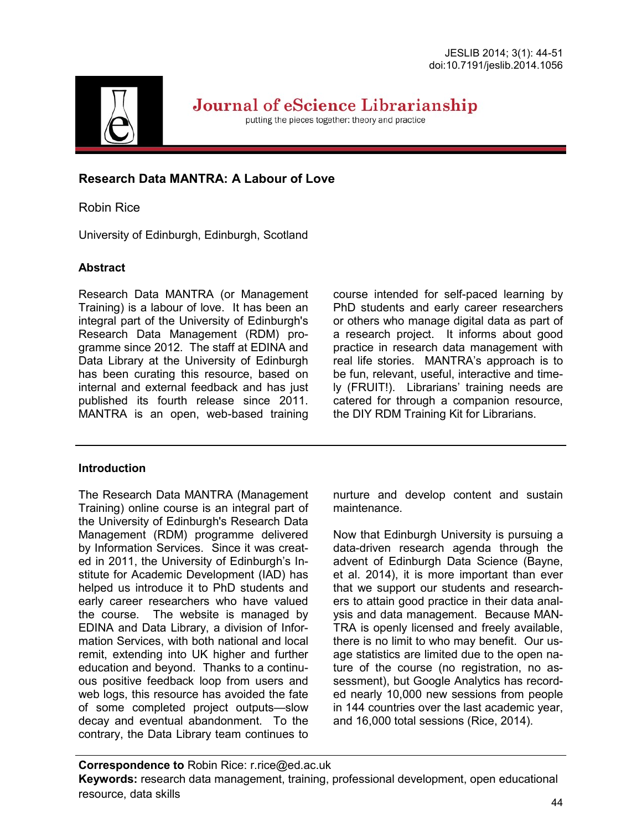

Journal of eScience Librarianship

putting the pieces together: theory and practice

# **Research Data MANTRA: A Labour of Love**

# Robin Rice

University of Edinburgh, Edinburgh, Scotland

# **Abstract**

Research Data MANTRA (or Management Training) is a labour of love. It has been an integral part of the University of Edinburgh's Research Data Management (RDM) programme since 2012. The staff at EDINA and Data Library at the University of Edinburgh has been curating this resource, based on internal and external feedback and has just published its fourth release since 2011. MANTRA is an open, web-based training course intended for self-paced learning by PhD students and early career researchers or others who manage digital data as part of a research project. It informs about good practice in research data management with real life stories. MANTRA's approach is to be fun, relevant, useful, interactive and timely (FRUIT!). Librarians' training needs are catered for through a companion resource, the DIY RDM Training Kit for Librarians.

# **Introduction**

The Research Data MANTRA (Management Training) online course is an integral part of the University of Edinburgh's Research Data Management (RDM) programme delivered by Information Services. Since it was created in 2011, the University of Edinburgh's Institute for Academic Development (IAD) has helped us introduce it to PhD students and early career researchers who have valued the course. The website is managed by EDINA and Data Library, a division of Information Services, with both national and local remit, extending into UK higher and further education and beyond. Thanks to a continuous positive feedback loop from users and web logs, this resource has avoided the fate of some completed project outputs—slow decay and eventual abandonment. To the contrary, the Data Library team continues to nurture and develop content and sustain maintenance.

Now that Edinburgh University is pursuing a data-driven research agenda through the advent of Edinburgh Data Science (Bayne, et al. 2014), it is more important than ever that we support our students and researchers to attain good practice in their data analysis and data management. Because MAN-TRA is openly licensed and freely available, there is no limit to who may benefit. Our usage statistics are limited due to the open nature of the course (no registration, no assessment), but Google Analytics has recorded nearly 10,000 new sessions from people in 144 countries over the last academic year, and 16,000 total sessions (Rice, 2014).

**Correspondence to** Robin Rice: r.rice@ed.ac.uk **Keywords:** research data management, training, professional development, open educational resource, data skills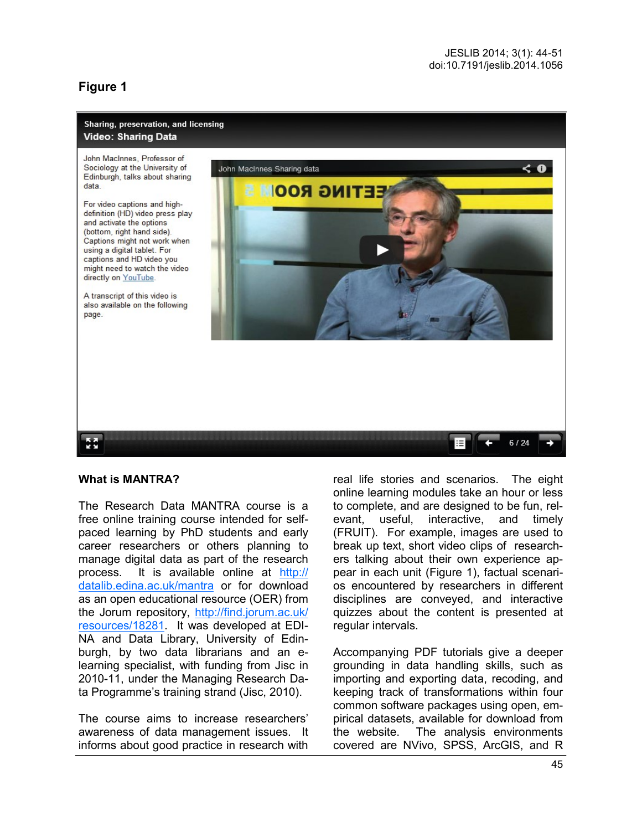# **Figure 1**

#### Sharing, preservation, and licensing Video: Sharing Data

John MacInnes, Professor of Sociology at the University of Edinburgh, talks about sharing data

For video captions and highdefinition (HD) video press play and activate the options (bottom, right hand side). Captions might not work when using a digital tablet. For captions and HD video you might need to watch the video directly on YouTube.

A transcript of this video is also available on the following page.



#### **What is MANTRA?**

ē.

The Research Data MANTRA course is a free online training course intended for selfpaced learning by PhD students and early career researchers or others planning to manage digital data as part of the research process. It is available online at [http://](http://datalib.edina.ac.uk/mantra) [datalib.edina.ac.uk/mantra](http://datalib.edina.ac.uk/mantra) or for download as an open educational resource (OER) from the Jorum repository, [http://find.jorum.ac.uk/](http://find.jorum.ac.uk/resources/18281) [resources/18281.](http://find.jorum.ac.uk/resources/18281) It was developed at EDI-NA and Data Library, University of Edinburgh, by two data librarians and an elearning specialist, with funding from Jisc in 2010-11, under the Managing Research Data Programme's training strand (Jisc, 2010).

The course aims to increase researchers' awareness of data management issues. It informs about good practice in research with

real life stories and scenarios. The eight online learning modules take an hour or less to complete, and are designed to be fun, relevant, useful, interactive, and timely (FRUIT). For example, images are used to break up text, short video clips of researchers talking about their own experience appear in each unit (Figure 1), factual scenarios encountered by researchers in different disciplines are conveyed, and interactive quizzes about the content is presented at regular intervals.

Accompanying PDF tutorials give a deeper grounding in data handling skills, such as importing and exporting data, recoding, and keeping track of transformations within four common software packages using open, empirical datasets, available for download from the website. The analysis environments covered are NVivo, SPSS, ArcGIS, and R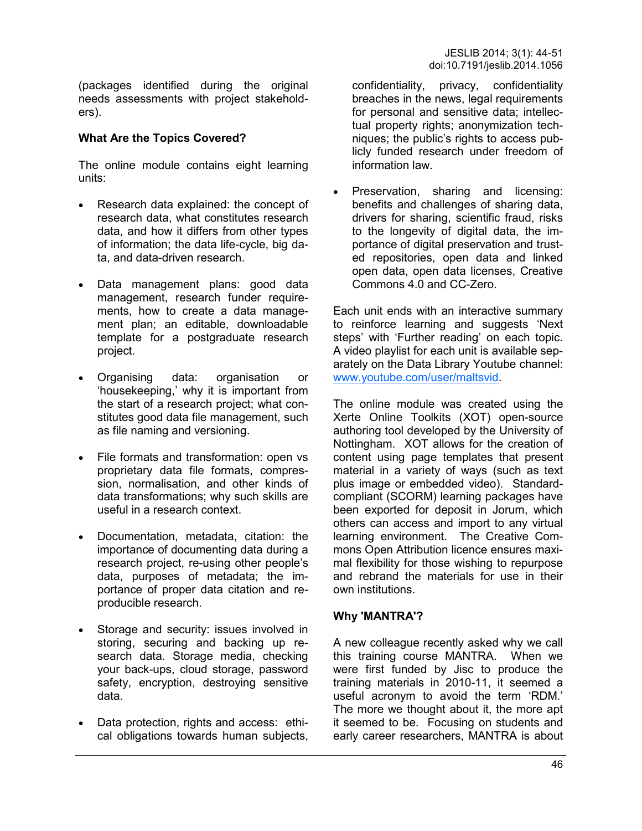(packages identified during the original needs assessments with project stakeholders).

## **What Are the Topics Covered?**

The online module contains eight learning units:

- Research data explained: the concept of research data, what constitutes research data, and how it differs from other types of information; the data life-cycle, big data, and data-driven research.
- Data management plans: good data management, research funder requirements, how to create a data management plan; an editable, downloadable template for a postgraduate research project.
- Organising data: organisation or 'housekeeping,' why it is important from the start of a research project; what constitutes good data file management, such as file naming and versioning.
- File formats and transformation: open vs proprietary data file formats, compression, normalisation, and other kinds of data transformations; why such skills are useful in a research context.
- Documentation, metadata, citation: the importance of documenting data during a research project, re-using other people's data, purposes of metadata; the importance of proper data citation and reproducible research.
- Storage and security: issues involved in storing, securing and backing up research data. Storage media, checking your back-ups, cloud storage, password safety, encryption, destroying sensitive data.
- Data protection, rights and access: ethical obligations towards human subjects,

confidentiality, privacy, confidentiality breaches in the news, legal requirements for personal and sensitive data; intellectual property rights; anonymization techniques; the public's rights to access publicly funded research under freedom of information law.

 Preservation, sharing and licensing: benefits and challenges of sharing data, drivers for sharing, scientific fraud, risks to the longevity of digital data, the importance of digital preservation and trusted repositories, open data and linked open data, open data licenses, Creative Commons 4.0 and CC-Zero.

Each unit ends with an interactive summary to reinforce learning and suggests 'Next steps' with 'Further reading' on each topic. A video playlist for each unit is available separately on the Data Library Youtube channel: [www.youtube.com/user/maltsvid.](http://www.youtube.com/user/maltsvid) 

The online module was created using the Xerte Online Toolkits (XOT) open-source authoring tool developed by the University of Nottingham. XOT allows for the creation of content using page templates that present material in a variety of ways (such as text plus image or embedded video). Standardcompliant (SCORM) learning packages have been exported for deposit in Jorum, which others can access and import to any virtual learning environment. The Creative Commons Open Attribution licence ensures maximal flexibility for those wishing to repurpose and rebrand the materials for use in their own institutions.

## **Why 'MANTRA'?**

A new colleague recently asked why we call this training course MANTRA. When we were first funded by Jisc to produce the training materials in 2010-11, it seemed a useful acronym to avoid the term 'RDM.' The more we thought about it, the more apt it seemed to be. Focusing on students and early career researchers, MANTRA is about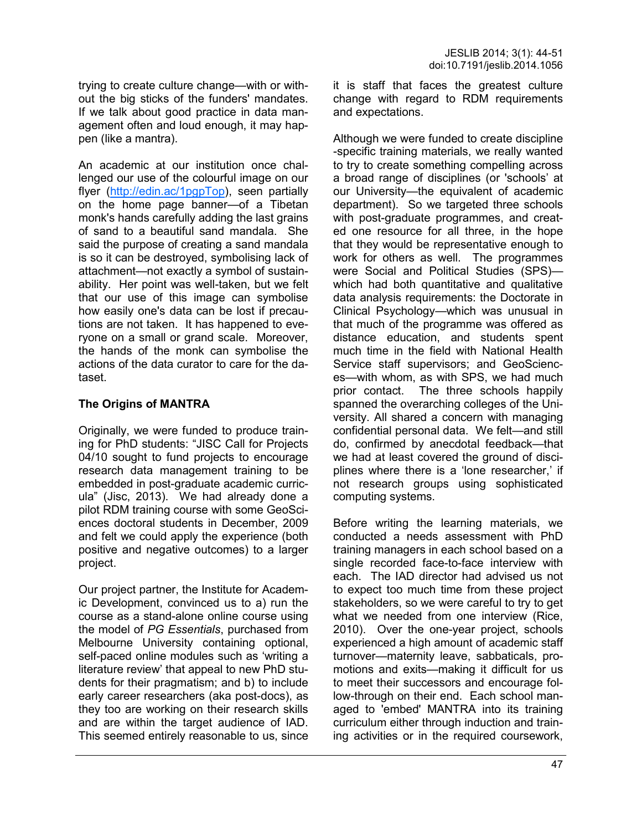trying to create culture change—with or without the big sticks of the funders' mandates. If we talk about good practice in data management often and loud enough, it may happen (like a mantra).

An academic at our institution once challenged our use of the colourful image on our flyer [\(http://edin.ac/1pgpTop\)](http://edin.ac/1pgpTop), seen partially on the home page banner—of a Tibetan monk's hands carefully adding the last grains of sand to a beautiful sand mandala. She said the purpose of creating a sand mandala is so it can be destroyed, symbolising lack of attachment—not exactly a symbol of sustainability. Her point was well-taken, but we felt that our use of this image can symbolise how easily one's data can be lost if precautions are not taken. It has happened to everyone on a small or grand scale. Moreover, the hands of the monk can symbolise the actions of the data curator to care for the dataset.

# **The Origins of MANTRA**

Originally, we were funded to produce training for PhD students: "JISC Call for Projects 04/10 sought to fund projects to encourage research data management training to be embedded in post-graduate academic curricula" (Jisc, 2013). We had already done a pilot RDM training course with some GeoSciences doctoral students in December, 2009 and felt we could apply the experience (both positive and negative outcomes) to a larger project.

Our project partner, the Institute for Academic Development, convinced us to a) run the course as a stand-alone online course using the model of *PG Essentials*, purchased from Melbourne University containing optional, self-paced online modules such as 'writing a literature review' that appeal to new PhD students for their pragmatism; and b) to include early career researchers (aka post-docs), as they too are working on their research skills and are within the target audience of IAD. This seemed entirely reasonable to us, since it is staff that faces the greatest culture change with regard to RDM requirements and expectations.

Although we were funded to create discipline -specific training materials, we really wanted to try to create something compelling across a broad range of disciplines (or 'schools' at our University—the equivalent of academic department). So we targeted three schools with post-graduate programmes, and created one resource for all three, in the hope that they would be representative enough to work for others as well. The programmes were Social and Political Studies (SPS) which had both quantitative and qualitative data analysis requirements: the Doctorate in Clinical Psychology—which was unusual in that much of the programme was offered as distance education, and students spent much time in the field with National Health Service staff supervisors; and GeoSciences—with whom, as with SPS, we had much prior contact. The three schools happily spanned the overarching colleges of the University. All shared a concern with managing confidential personal data. We felt—and still do, confirmed by anecdotal feedback—that we had at least covered the ground of disciplines where there is a 'lone researcher,' if not research groups using sophisticated computing systems.

Before writing the learning materials, we conducted a needs assessment with PhD training managers in each school based on a single recorded face-to-face interview with each. The IAD director had advised us not to expect too much time from these project stakeholders, so we were careful to try to get what we needed from one interview (Rice, 2010). Over the one-year project, schools experienced a high amount of academic staff turnover—maternity leave, sabbaticals, promotions and exits—making it difficult for us to meet their successors and encourage follow-through on their end. Each school managed to 'embed' MANTRA into its training curriculum either through induction and training activities or in the required coursework,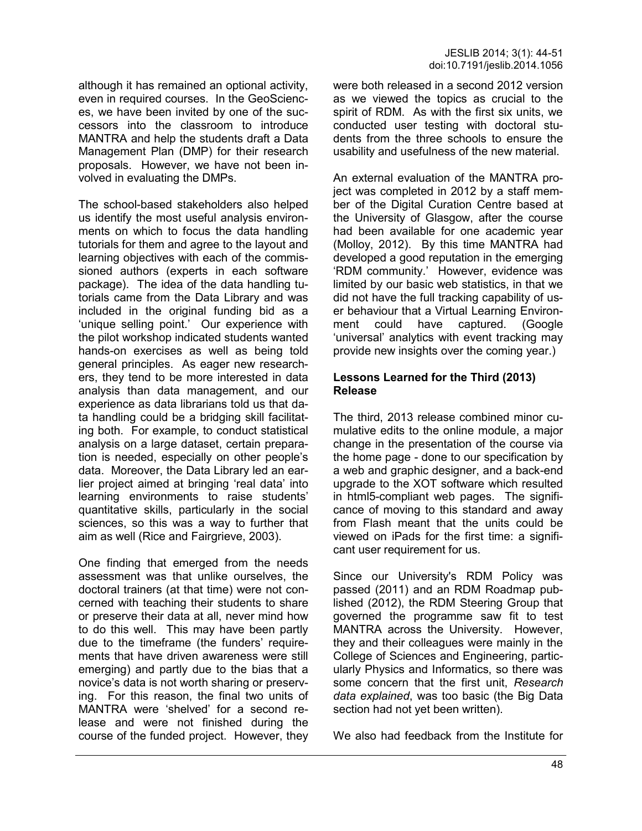although it has remained an optional activity, even in required courses. In the GeoSciences, we have been invited by one of the successors into the classroom to introduce MANTRA and help the students draft a Data Management Plan (DMP) for their research proposals. However, we have not been involved in evaluating the DMPs.

The school-based stakeholders also helped us identify the most useful analysis environments on which to focus the data handling tutorials for them and agree to the layout and learning objectives with each of the commissioned authors (experts in each software package). The idea of the data handling tutorials came from the Data Library and was included in the original funding bid as a 'unique selling point.' Our experience with the pilot workshop indicated students wanted hands-on exercises as well as being told general principles. As eager new researchers, they tend to be more interested in data analysis than data management, and our experience as data librarians told us that data handling could be a bridging skill facilitating both. For example, to conduct statistical analysis on a large dataset, certain preparation is needed, especially on other people's data. Moreover, the Data Library led an earlier project aimed at bringing 'real data' into learning environments to raise students' quantitative skills, particularly in the social sciences, so this was a way to further that aim as well (Rice and Fairgrieve, 2003).

One finding that emerged from the needs assessment was that unlike ourselves, the doctoral trainers (at that time) were not concerned with teaching their students to share or preserve their data at all, never mind how to do this well. This may have been partly due to the timeframe (the funders' requirements that have driven awareness were still emerging) and partly due to the bias that a novice's data is not worth sharing or preserving. For this reason, the final two units of MANTRA were 'shelved' for a second release and were not finished during the course of the funded project. However, they were both released in a second 2012 version as we viewed the topics as crucial to the spirit of RDM. As with the first six units, we conducted user testing with doctoral students from the three schools to ensure the usability and usefulness of the new material.

An external evaluation of the MANTRA project was completed in 2012 by a staff member of the Digital Curation Centre based at the University of Glasgow, after the course had been available for one academic year (Molloy, 2012). By this time MANTRA had developed a good reputation in the emerging 'RDM community.' However, evidence was limited by our basic web statistics, in that we did not have the full tracking capability of user behaviour that a Virtual Learning Environment could have captured. (Google 'universal' analytics with event tracking may provide new insights over the coming year.)

### **Lessons Learned for the Third (2013) Release**

The third, 2013 release combined minor cumulative edits to the online module, a major change in the presentation of the course via the home page - done to our specification by a web and graphic designer, and a back-end upgrade to the XOT software which resulted in html5-compliant web pages. The significance of moving to this standard and away from Flash meant that the units could be viewed on iPads for the first time: a significant user requirement for us.

Since our University's RDM Policy was passed (2011) and an RDM Roadmap published (2012), the RDM Steering Group that governed the programme saw fit to test MANTRA across the University. However, they and their colleagues were mainly in the College of Sciences and Engineering, particularly Physics and Informatics, so there was some concern that the first unit, *Research data explained*, was too basic (the Big Data section had not yet been written).

We also had feedback from the Institute for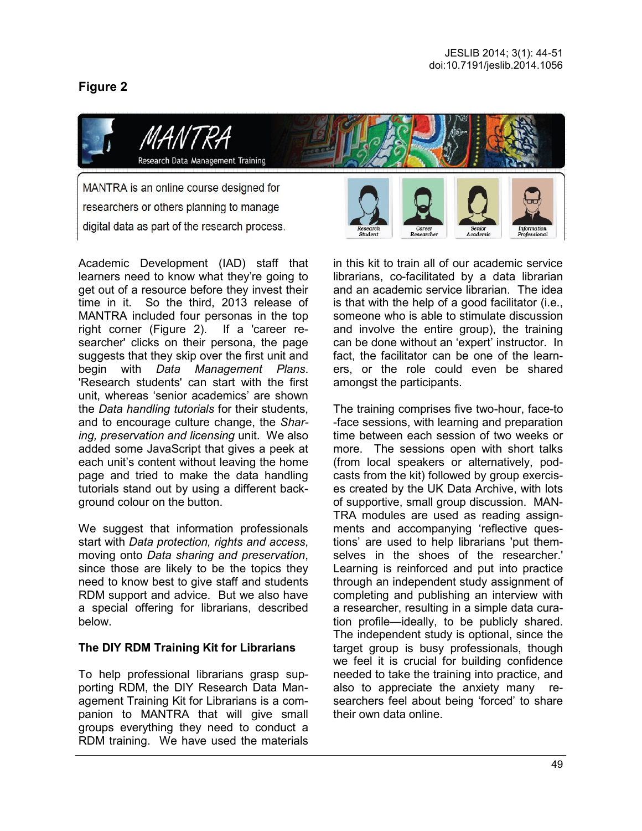# **Figure 2**



Academic Development (IAD) staff that learners need to know what they're going to get out of a resource before they invest their time in it. So the third, 2013 release of MANTRA included four personas in the top right corner (Figure 2). If a 'career researcher' clicks on their persona, the page suggests that they skip over the first unit and begin with *Data Management Plans*. 'Research students' can start with the first unit, whereas 'senior academics' are shown the *Data handling tutorials* for their students, and to encourage culture change, the *Sharing, preservation and licensing* unit. We also added some JavaScript that gives a peek at each unit's content without leaving the home page and tried to make the data handling tutorials stand out by using a different background colour on the button.

We suggest that information professionals start with *Data protection, rights and access*, moving onto *Data sharing and preservation*, since those are likely to be the topics they need to know best to give staff and students RDM support and advice. But we also have a special offering for librarians, described below.

## **The DIY RDM Training Kit for Librarians**

To help professional librarians grasp supporting RDM, the DIY Research Data Management Training Kit for Librarians is a companion to MANTRA that will give small groups everything they need to conduct a RDM training. We have used the materials

in this kit to train all of our academic service librarians, co-facilitated by a data librarian and an academic service librarian. The idea is that with the help of a good facilitator (i.e., someone who is able to stimulate discussion and involve the entire group), the training can be done without an 'expert' instructor. In fact, the facilitator can be one of the learners, or the role could even be shared amongst the participants.

The training comprises five two-hour, face-to -face sessions, with learning and preparation time between each session of two weeks or more. The sessions open with short talks (from local speakers or alternatively, podcasts from the kit) followed by group exercises created by the UK Data Archive, with lots of supportive, small group discussion. MAN-TRA modules are used as reading assignments and accompanying 'reflective questions' are used to help librarians 'put themselves in the shoes of the researcher.' Learning is reinforced and put into practice through an independent study assignment of completing and publishing an interview with a researcher, resulting in a simple data curation profile—ideally, to be publicly shared. The independent study is optional, since the target group is busy professionals, though we feel it is crucial for building confidence needed to take the training into practice, and also to appreciate the anxiety many researchers feel about being 'forced' to share their own data online.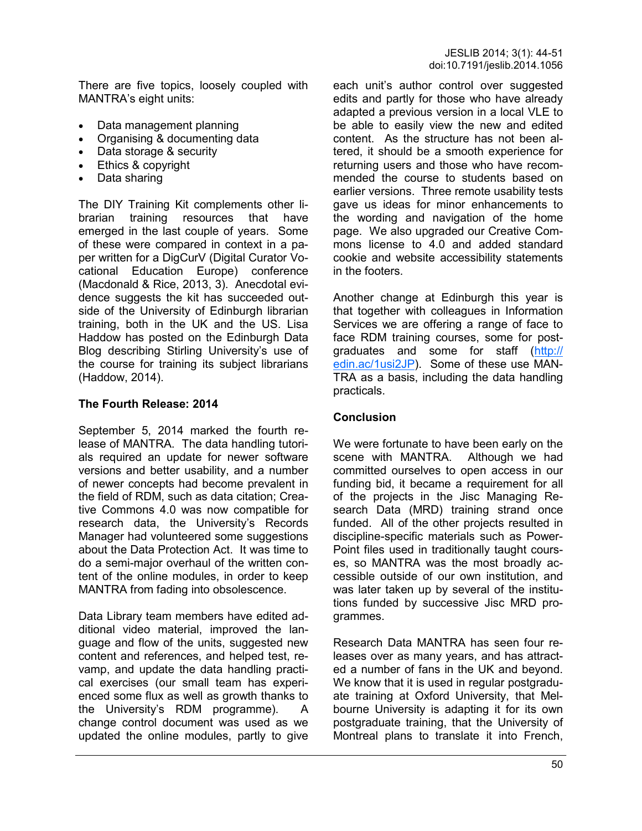There are five topics, loosely coupled with MANTRA's eight units:

- Data management planning
- Organising & documenting data
- Data storage & security
- Ethics & copyright
- Data sharing

The DIY Training Kit complements other librarian training resources that have emerged in the last couple of years. Some of these were compared in context in a paper written for a DigCurV (Digital Curator Vocational Education Europe) conference (Macdonald & Rice, 2013, 3). Anecdotal evidence suggests the kit has succeeded outside of the University of Edinburgh librarian training, both in the UK and the US. Lisa Haddow has posted on the Edinburgh Data Blog describing Stirling University's use of the course for training its subject librarians (Haddow, 2014).

# **The Fourth Release: 2014**

September 5, 2014 marked the fourth release of MANTRA. The data handling tutorials required an update for newer software versions and better usability, and a number of newer concepts had become prevalent in the field of RDM, such as data citation; Creative Commons 4.0 was now compatible for research data, the University's Records Manager had volunteered some suggestions about the Data Protection Act. It was time to do a semi-major overhaul of the written content of the online modules, in order to keep MANTRA from fading into obsolescence.

Data Library team members have edited additional video material, improved the language and flow of the units, suggested new content and references, and helped test, revamp, and update the data handling practical exercises (our small team has experienced some flux as well as growth thanks to the University's RDM programme). A change control document was used as we updated the online modules, partly to give

each unit's author control over suggested edits and partly for those who have already adapted a previous version in a local VLE to be able to easily view the new and edited content. As the structure has not been altered, it should be a smooth experience for returning users and those who have recommended the course to students based on earlier versions. Three remote usability tests gave us ideas for minor enhancements to the wording and navigation of the home page. We also upgraded our Creative Commons license to 4.0 and added standard cookie and website accessibility statements in the footers.

Another change at Edinburgh this year is that together with colleagues in Information Services we are offering a range of face to face RDM training courses, some for postgraduates and some for staff ([http://](http://edin.ac/1usi2JP) [edin.ac/1usi2JP\)](http://edin.ac/1usi2JP). Some of these use MAN-TRA as a basis, including the data handling practicals.

## **Conclusion**

We were fortunate to have been early on the scene with MANTRA. Although we had committed ourselves to open access in our funding bid, it became a requirement for all of the projects in the Jisc Managing Research Data (MRD) training strand once funded. All of the other projects resulted in discipline-specific materials such as Power-Point files used in traditionally taught courses, so MANTRA was the most broadly accessible outside of our own institution, and was later taken up by several of the institutions funded by successive Jisc MRD programmes.

Research Data MANTRA has seen four releases over as many years, and has attracted a number of fans in the UK and beyond. We know that it is used in regular postgraduate training at Oxford University, that Melbourne University is adapting it for its own postgraduate training, that the University of Montreal plans to translate it into French,